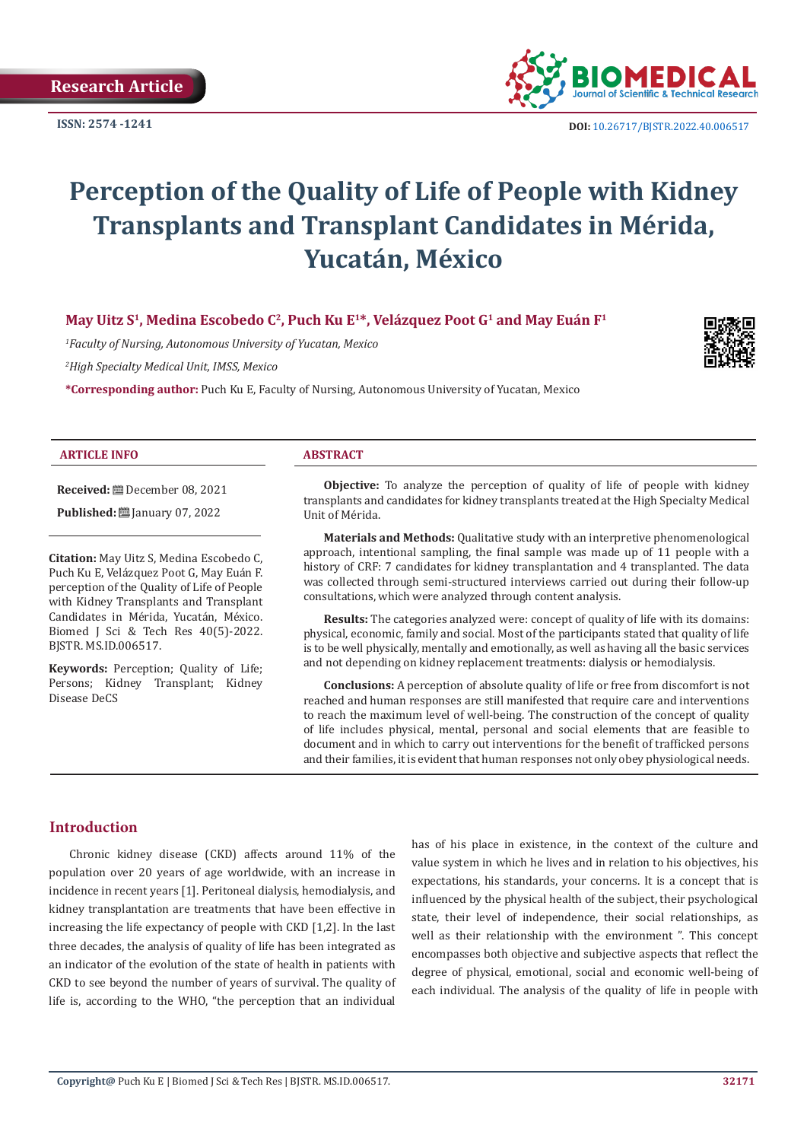

**ISSN:** 2574 -1241 **DOI:** [10.26717/BJSTR.2022.40.006517](https://dx.doi.org/10.26717/BJSTR.2022.40.006517)

# **Perception of the Quality of Life of People with Kidney Transplants and Transplant Candidates in Mérida, Yucatán, México**

**May Uitz S1, Medina Escobedo C2, Puch Ku E1\*, Velázquez Poot G1 and May Euán F1**

*1 Faculty of Nursing, Autonomous University of Yucatan, Mexico*

*2 High Specialty Medical Unit, IMSS, Mexico*

**\*Corresponding author:** Puch Ku E, Faculty of Nursing, Autonomous University of Yucatan, Mexico



#### **ARTICLE INFO ABSTRACT**

**Received:** December 08, 2021

**Published: [**] January 07, 2022

**Citation:** May Uitz S, Medina Escobedo C, Puch Ku E, Velázquez Poot G, May Euán F. perception of the Quality of Life of People with Kidney Transplants and Transplant Candidates in Mérida, Yucatán, México. Biomed J Sci & Tech Res 40(5)-2022. BJSTR. MS.ID.006517.

**Keywords:** Perception; Quality of Life; Persons; Kidney Transplant; Kidney Disease DeCS

**Objective:** To analyze the perception of quality of life of people with kidney transplants and candidates for kidney transplants treated at the High Specialty Medical Unit of Mérida.

**Materials and Methods:** Qualitative study with an interpretive phenomenological approach, intentional sampling, the final sample was made up of 11 people with a history of CRF: 7 candidates for kidney transplantation and 4 transplanted. The data was collected through semi-structured interviews carried out during their follow-up consultations, which were analyzed through content analysis.

**Results:** The categories analyzed were: concept of quality of life with its domains: physical, economic, family and social. Most of the participants stated that quality of life is to be well physically, mentally and emotionally, as well as having all the basic services and not depending on kidney replacement treatments: dialysis or hemodialysis.

**Conclusions:** A perception of absolute quality of life or free from discomfort is not reached and human responses are still manifested that require care and interventions to reach the maximum level of well-being. The construction of the concept of quality of life includes physical, mental, personal and social elements that are feasible to document and in which to carry out interventions for the benefit of trafficked persons and their families, it is evident that human responses not only obey physiological needs.

# **Introduction**

Chronic kidney disease (CKD) affects around 11% of the population over 20 years of age worldwide, with an increase in incidence in recent years [1]. Peritoneal dialysis, hemodialysis, and kidney transplantation are treatments that have been effective in increasing the life expectancy of people with CKD [1,2]. In the last three decades, the analysis of quality of life has been integrated as an indicator of the evolution of the state of health in patients with CKD to see beyond the number of years of survival. The quality of life is, according to the WHO, "the perception that an individual has of his place in existence, in the context of the culture and value system in which he lives and in relation to his objectives, his expectations, his standards, your concerns. It is a concept that is influenced by the physical health of the subject, their psychological state, their level of independence, their social relationships, as well as their relationship with the environment ". This concept encompasses both objective and subjective aspects that reflect the degree of physical, emotional, social and economic well-being of each individual. The analysis of the quality of life in people with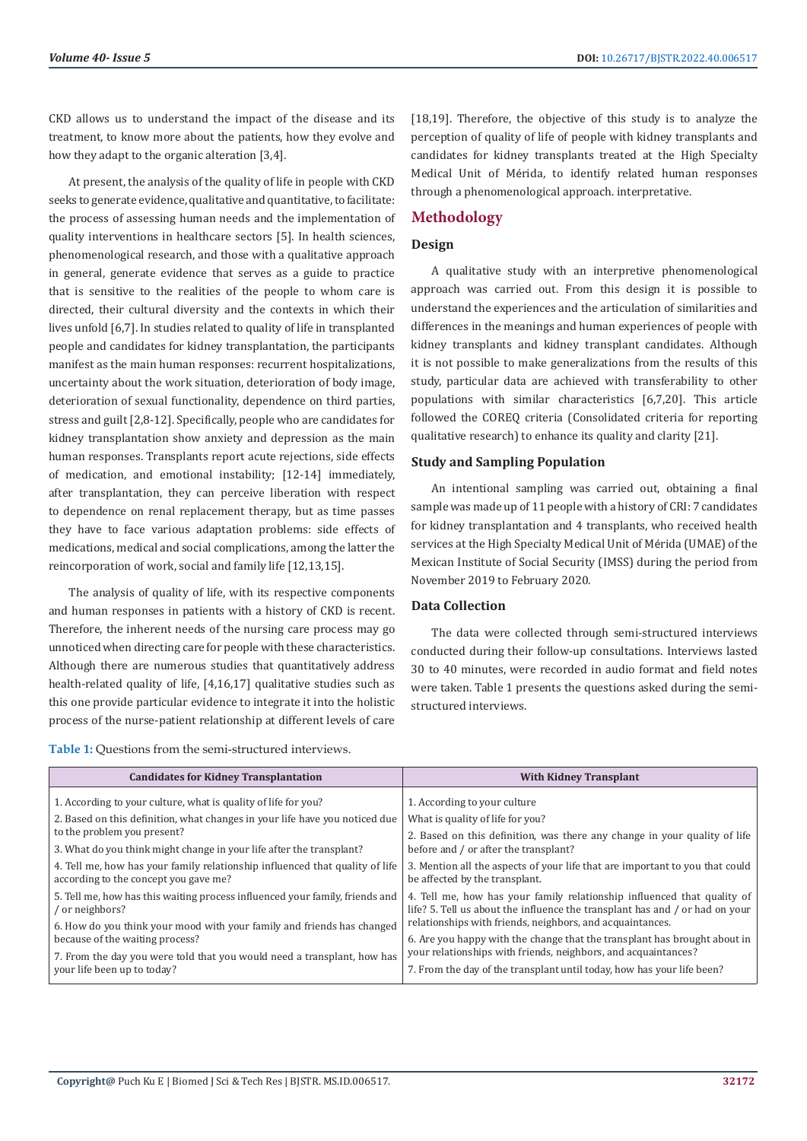CKD allows us to understand the impact of the disease and its treatment, to know more about the patients, how they evolve and how they adapt to the organic alteration [3,4].

At present, the analysis of the quality of life in people with CKD seeks to generate evidence, qualitative and quantitative, to facilitate: the process of assessing human needs and the implementation of quality interventions in healthcare sectors [5]. In health sciences, phenomenological research, and those with a qualitative approach in general, generate evidence that serves as a guide to practice that is sensitive to the realities of the people to whom care is directed, their cultural diversity and the contexts in which their lives unfold [6,7]. In studies related to quality of life in transplanted people and candidates for kidney transplantation, the participants manifest as the main human responses: recurrent hospitalizations, uncertainty about the work situation, deterioration of body image, deterioration of sexual functionality, dependence on third parties, stress and guilt [2,8-12]. Specifically, people who are candidates for kidney transplantation show anxiety and depression as the main human responses. Transplants report acute rejections, side effects of medication, and emotional instability; [12-14] immediately, after transplantation, they can perceive liberation with respect to dependence on renal replacement therapy, but as time passes they have to face various adaptation problems: side effects of medications, medical and social complications, among the latter the reincorporation of work, social and family life [12,13,15].

The analysis of quality of life, with its respective components and human responses in patients with a history of CKD is recent. Therefore, the inherent needs of the nursing care process may go unnoticed when directing care for people with these characteristics. Although there are numerous studies that quantitatively address health-related quality of life, [4,16,17] qualitative studies such as this one provide particular evidence to integrate it into the holistic process of the nurse-patient relationship at different levels of care

**Table 1:** Questions from the semi-structured interviews.

[18,19]. Therefore, the objective of this study is to analyze the perception of quality of life of people with kidney transplants and candidates for kidney transplants treated at the High Specialty Medical Unit of Mérida, to identify related human responses through a phenomenological approach. interpretative.

# **Methodology**

# **Design**

A qualitative study with an interpretive phenomenological approach was carried out. From this design it is possible to understand the experiences and the articulation of similarities and differences in the meanings and human experiences of people with kidney transplants and kidney transplant candidates. Although it is not possible to make generalizations from the results of this study, particular data are achieved with transferability to other populations with similar characteristics [6,7,20]. This article followed the COREQ criteria (Consolidated criteria for reporting qualitative research) to enhance its quality and clarity [21].

# **Study and Sampling Population**

An intentional sampling was carried out, obtaining a final sample was made up of 11 people with a history of CRI: 7 candidates for kidney transplantation and 4 transplants, who received health services at the High Specialty Medical Unit of Mérida (UMAE) of the Mexican Institute of Social Security (IMSS) during the period from November 2019 to February 2020.

# **Data Collection**

The data were collected through semi-structured interviews conducted during their follow-up consultations. Interviews lasted 30 to 40 minutes, were recorded in audio format and field notes were taken. Table 1 presents the questions asked during the semistructured interviews.

| <b>Candidates for Kidney Transplantation</b>                                                                          | <b>With Kidney Transplant</b>                                                                                                                           |
|-----------------------------------------------------------------------------------------------------------------------|---------------------------------------------------------------------------------------------------------------------------------------------------------|
| 1. According to your culture, what is quality of life for you?                                                        | 1. According to your culture                                                                                                                            |
| 2. Based on this definition, what changes in your life have you noticed due                                           | What is quality of life for you?                                                                                                                        |
| to the problem you present?                                                                                           | 2. Based on this definition, was there any change in your quality of life                                                                               |
| 3. What do you think might change in your life after the transplant?                                                  | before and / or after the transplant?                                                                                                                   |
| 4. Tell me, how has your family relationship influenced that quality of life<br>according to the concept you gave me? | 3. Mention all the aspects of your life that are important to you that could<br>be affected by the transplant.                                          |
| 5. Tell me, how has this waiting process influenced your family, friends and<br>or neighbors?                         | 4. Tell me, how has your family relationship influenced that quality of<br>life? 5. Tell us about the influence the transplant has and / or had on your |
| 6. How do you think your mood with your family and friends has changed                                                | relationships with friends, neighbors, and acquaintances.                                                                                               |
| because of the waiting process?                                                                                       | 6. Are you happy with the change that the transplant has brought about in                                                                               |
| 7. From the day you were told that you would need a transplant, how has                                               | your relationships with friends, neighbors, and acquaintances?                                                                                          |
| your life been up to today?                                                                                           | 7. From the day of the transplant until today, how has your life been?                                                                                  |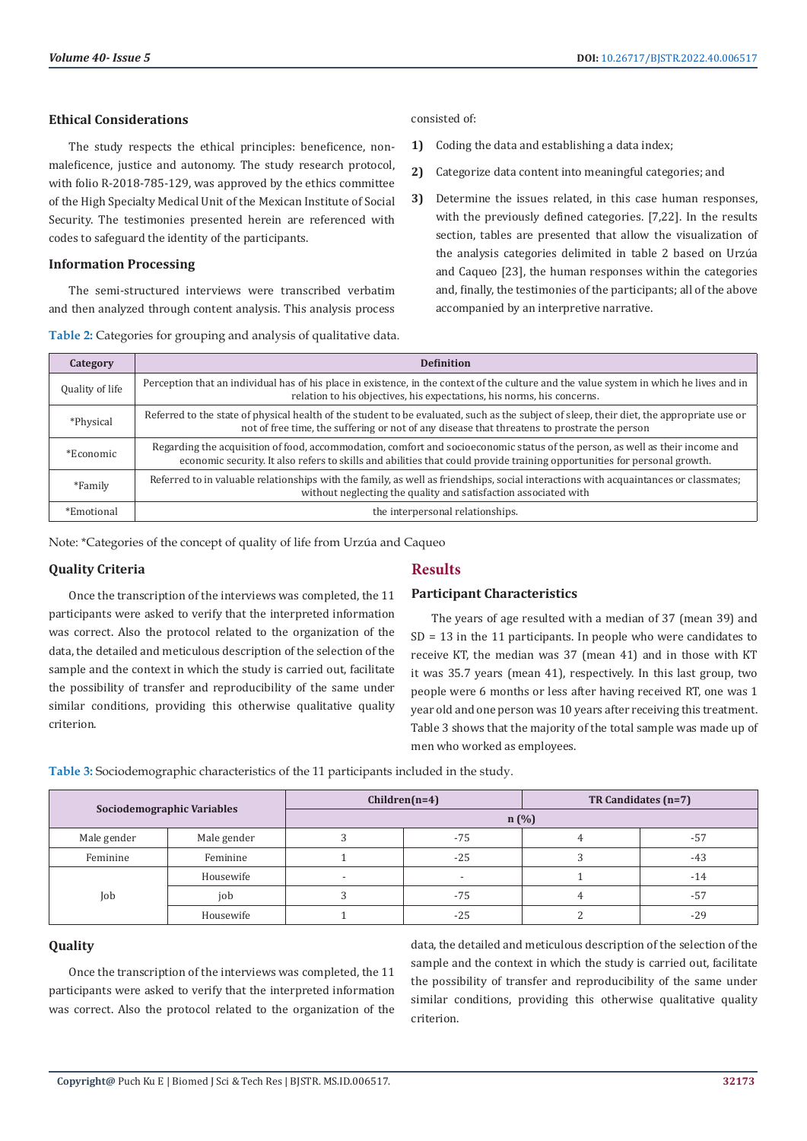#### **Ethical Considerations**

The study respects the ethical principles: beneficence, nonmaleficence, justice and autonomy. The study research protocol, with folio R-2018-785-129, was approved by the ethics committee of the High Specialty Medical Unit of the Mexican Institute of Social Security. The testimonies presented herein are referenced with codes to safeguard the identity of the participants.

# **Information Processing**

The semi-structured interviews were transcribed verbatim and then analyzed through content analysis. This analysis process

|  |  | Table 2: Categories for grouping and analysis of qualitative data. |
|--|--|--------------------------------------------------------------------|
|  |  |                                                                    |

consisted of:

- **1)** Coding the data and establishing a data index;
- **2)** Categorize data content into meaningful categories; and
- **3)** Determine the issues related, in this case human responses, with the previously defined categories. [7,22]. In the results section, tables are presented that allow the visualization of the analysis categories delimited in table 2 based on Urzúa and Caqueo [23], the human responses within the categories and, finally, the testimonies of the participants; all of the above accompanied by an interpretive narrative.

| Category        | <b>Definition</b>                                                                                                                                                                                                                                         |
|-----------------|-----------------------------------------------------------------------------------------------------------------------------------------------------------------------------------------------------------------------------------------------------------|
| Quality of life | Perception that an individual has of his place in existence, in the context of the culture and the value system in which he lives and in<br>relation to his objectives, his expectations, his norms, his concerns.                                        |
| *Physical       | Referred to the state of physical health of the student to be evaluated, such as the subject of sleep, their diet, the appropriate use or<br>not of free time, the suffering or not of any disease that threatens to prostrate the person                 |
| *Economic       | Regarding the acquisition of food, accommodation, comfort and socioeconomic status of the person, as well as their income and<br>economic security. It also refers to skills and abilities that could provide training opportunities for personal growth. |
| *Family         | Referred to in valuable relationships with the family, as well as friendships, social interactions with acquaintances or classmates;<br>without neglecting the quality and satisfaction associated with                                                   |
| *Emotional      | the interpersonal relationships.                                                                                                                                                                                                                          |

Note: \*Categories of the concept of quality of life from Urzúa and Caqueo

#### **Quality Criteria**

# **Results**

# **Participant Characteristics**

Once the transcription of the interviews was completed, the 11 participants were asked to verify that the interpreted information was correct. Also the protocol related to the organization of the data, the detailed and meticulous description of the selection of the sample and the context in which the study is carried out, facilitate the possibility of transfer and reproducibility of the same under similar conditions, providing this otherwise qualitative quality criterion.

The years of age resulted with a median of 37 (mean 39) and SD = 13 in the 11 participants. In people who were candidates to receive KT, the median was 37 (mean 41) and in those with KT it was 35.7 years (mean 41), respectively. In this last group, two people were 6 months or less after having received RT, one was 1 year old and one person was 10 years after receiving this treatment. Table 3 shows that the majority of the total sample was made up of men who worked as employees.

| Sociodemographic Variables |             | $Children(n=4)$          |       | TR Candidates (n=7) |       |
|----------------------------|-------------|--------------------------|-------|---------------------|-------|
|                            |             | $n$ (%)                  |       |                     |       |
| Male gender                | Male gender |                          | -75   |                     | $-57$ |
| Feminine                   | Feminine    |                          | $-25$ |                     | $-43$ |
| Job                        | Housewife   | $\overline{\phantom{a}}$ | -     |                     | $-14$ |
|                            | job         |                          | $-75$ | 4                   | -57   |
|                            | Housewife   |                          | $-25$ |                     | $-29$ |

**Table 3:** Sociodemographic characteristics of the 11 participants included in the study.

#### **Quality**

Once the transcription of the interviews was completed, the 11 participants were asked to verify that the interpreted information was correct. Also the protocol related to the organization of the

data, the detailed and meticulous description of the selection of the sample and the context in which the study is carried out, facilitate the possibility of transfer and reproducibility of the same under similar conditions, providing this otherwise qualitative quality criterion.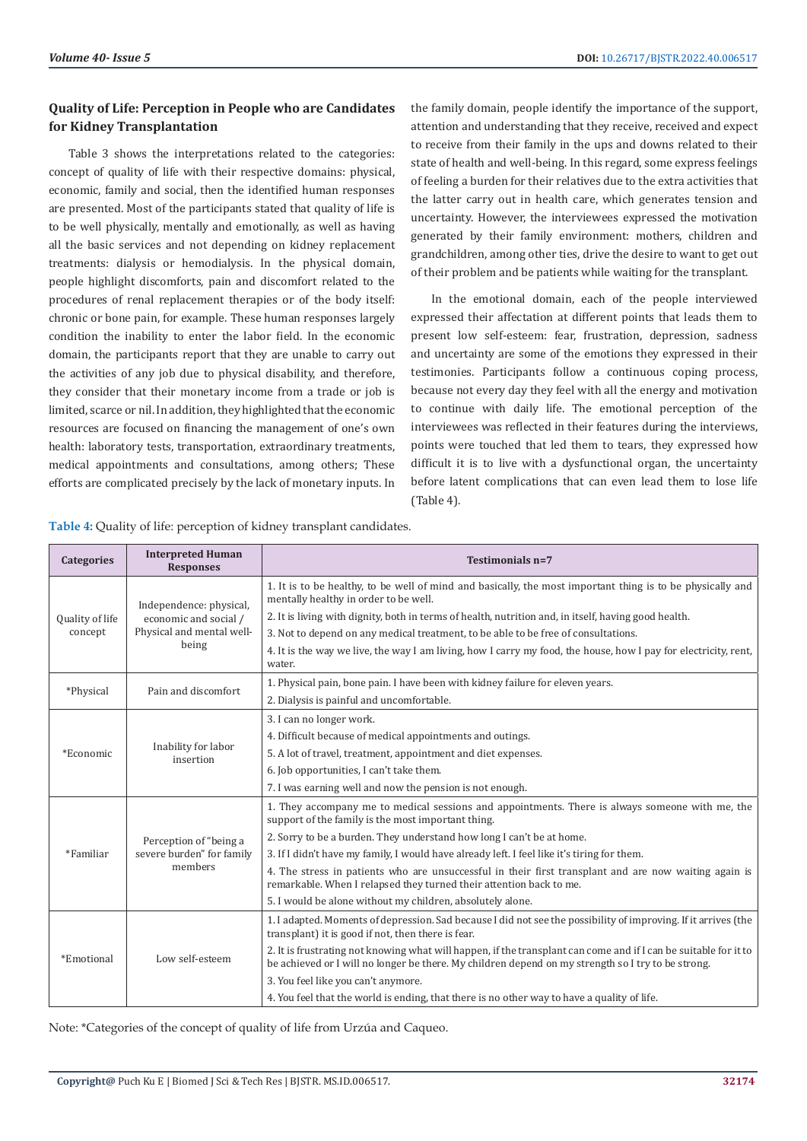# **Quality of Life: Perception in People who are Candidates for Kidney Transplantation**

Table 3 shows the interpretations related to the categories: concept of quality of life with their respective domains: physical, economic, family and social, then the identified human responses are presented. Most of the participants stated that quality of life is to be well physically, mentally and emotionally, as well as having all the basic services and not depending on kidney replacement treatments: dialysis or hemodialysis. In the physical domain, people highlight discomforts, pain and discomfort related to the procedures of renal replacement therapies or of the body itself: chronic or bone pain, for example. These human responses largely condition the inability to enter the labor field. In the economic domain, the participants report that they are unable to carry out the activities of any job due to physical disability, and therefore, they consider that their monetary income from a trade or job is limited, scarce or nil. In addition, they highlighted that the economic resources are focused on financing the management of one's own health: laboratory tests, transportation, extraordinary treatments, medical appointments and consultations, among others; These efforts are complicated precisely by the lack of monetary inputs. In

the family domain, people identify the importance of the support, attention and understanding that they receive, received and expect to receive from their family in the ups and downs related to their state of health and well-being. In this regard, some express feelings of feeling a burden for their relatives due to the extra activities that the latter carry out in health care, which generates tension and uncertainty. However, the interviewees expressed the motivation generated by their family environment: mothers, children and grandchildren, among other ties, drive the desire to want to get out of their problem and be patients while waiting for the transplant.

In the emotional domain, each of the people interviewed expressed their affectation at different points that leads them to present low self-esteem: fear, frustration, depression, sadness and uncertainty are some of the emotions they expressed in their testimonies. Participants follow a continuous coping process, because not every day they feel with all the energy and motivation to continue with daily life. The emotional perception of the interviewees was reflected in their features during the interviews, points were touched that led them to tears, they expressed how difficult it is to live with a dysfunctional organ, the uncertainty before latent complications that can even lead them to lose life (Table 4).

**Table 4:** Quality of life: perception of kidney transplant candidates.

| <b>Categories</b>          | <b>Interpreted Human</b><br><b>Responses</b>                                           | Testimonials n=7                                                                                                                                                                                                       |
|----------------------------|----------------------------------------------------------------------------------------|------------------------------------------------------------------------------------------------------------------------------------------------------------------------------------------------------------------------|
| Quality of life<br>concept | Independence: physical,<br>economic and social /<br>Physical and mental well-<br>being | 1. It is to be healthy, to be well of mind and basically, the most important thing is to be physically and<br>mentally healthy in order to be well.                                                                    |
|                            |                                                                                        | 2. It is living with dignity, both in terms of health, nutrition and, in itself, having good health.                                                                                                                   |
|                            |                                                                                        | 3. Not to depend on any medical treatment, to be able to be free of consultations.                                                                                                                                     |
|                            |                                                                                        | 4. It is the way we live, the way I am living, how I carry my food, the house, how I pay for electricity, rent,<br>water.                                                                                              |
|                            | Pain and discomfort                                                                    | 1. Physical pain, bone pain. I have been with kidney failure for eleven years.                                                                                                                                         |
| *Physical                  |                                                                                        | 2. Dialysis is painful and uncomfortable.                                                                                                                                                                              |
| *Economic                  | Inability for labor<br>insertion                                                       | 3. I can no longer work.                                                                                                                                                                                               |
|                            |                                                                                        | 4. Difficult because of medical appointments and outings.                                                                                                                                                              |
|                            |                                                                                        | 5. A lot of travel, treatment, appointment and diet expenses.                                                                                                                                                          |
|                            |                                                                                        | 6. Job opportunities, I can't take them.                                                                                                                                                                               |
|                            |                                                                                        | 7. I was earning well and now the pension is not enough.                                                                                                                                                               |
| *Familiar                  | Perception of "being a<br>severe burden" for family<br>members                         | 1. They accompany me to medical sessions and appointments. There is always someone with me, the<br>support of the family is the most important thing.                                                                  |
|                            |                                                                                        | 2. Sorry to be a burden. They understand how long I can't be at home.                                                                                                                                                  |
|                            |                                                                                        | 3. If I didn't have my family, I would have already left. I feel like it's tiring for them.                                                                                                                            |
|                            |                                                                                        | 4. The stress in patients who are unsuccessful in their first transplant and are now waiting again is<br>remarkable. When I relapsed they turned their attention back to me.                                           |
|                            |                                                                                        | 5. I would be alone without my children, absolutely alone.                                                                                                                                                             |
| *Emotional                 | Low self-esteem                                                                        | 1. I adapted. Moments of depression. Sad because I did not see the possibility of improving. If it arrives (the<br>transplant) it is good if not, then there is fear.                                                  |
|                            |                                                                                        | 2. It is frustrating not knowing what will happen, if the transplant can come and if I can be suitable for it to<br>be achieved or I will no longer be there. My children depend on my strength so I try to be strong. |
|                            |                                                                                        | 3. You feel like you can't anymore.                                                                                                                                                                                    |
|                            |                                                                                        | 4. You feel that the world is ending, that there is no other way to have a quality of life.                                                                                                                            |

Note: \*Categories of the concept of quality of life from Urzúa and Caqueo.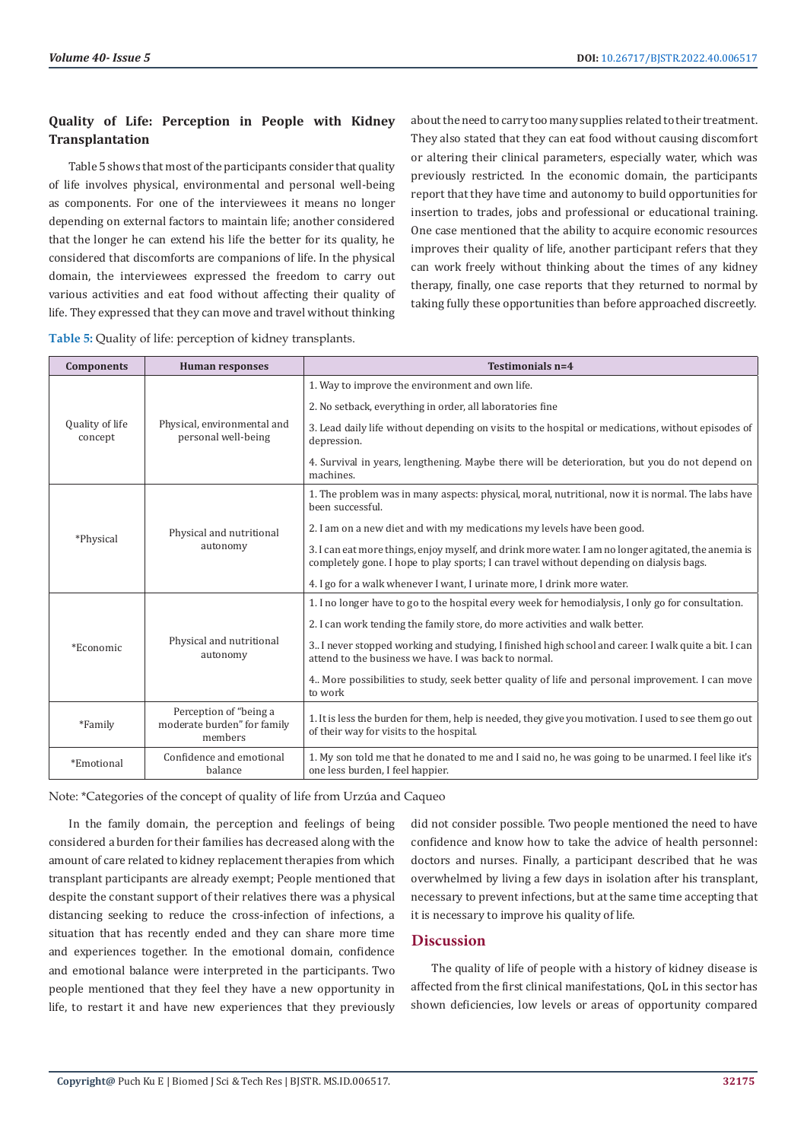# **Quality of Life: Perception in People with Kidney Transplantation**

Table 5 shows that most of the participants consider that quality of life involves physical, environmental and personal well-being as components. For one of the interviewees it means no longer depending on external factors to maintain life; another considered that the longer he can extend his life the better for its quality, he considered that discomforts are companions of life. In the physical domain, the interviewees expressed the freedom to carry out various activities and eat food without affecting their quality of life. They expressed that they can move and travel without thinking

about the need to carry too many supplies related to their treatment. They also stated that they can eat food without causing discomfort or altering their clinical parameters, especially water, which was previously restricted. In the economic domain, the participants report that they have time and autonomy to build opportunities for insertion to trades, jobs and professional or educational training. One case mentioned that the ability to acquire economic resources improves their quality of life, another participant refers that they can work freely without thinking about the times of any kidney therapy, finally, one case reports that they returned to normal by taking fully these opportunities than before approached discreetly.

| <b>Components</b>          | <b>Human responses</b>                                           | Testimonials n=4                                                                                                                                                                                 |
|----------------------------|------------------------------------------------------------------|--------------------------------------------------------------------------------------------------------------------------------------------------------------------------------------------------|
| Quality of life<br>concept | Physical, environmental and<br>personal well-being               | 1. Way to improve the environment and own life.                                                                                                                                                  |
|                            |                                                                  | 2. No setback, everything in order, all laboratories fine                                                                                                                                        |
|                            |                                                                  | 3. Lead daily life without depending on visits to the hospital or medications, without episodes of<br>depression.                                                                                |
|                            |                                                                  | 4. Survival in years, lengthening. Maybe there will be deterioration, but you do not depend on<br>machines.                                                                                      |
| *Physical                  | Physical and nutritional<br>autonomy                             | 1. The problem was in many aspects: physical, moral, nutritional, now it is normal. The labs have<br>been successful.                                                                            |
|                            |                                                                  | 2. I am on a new diet and with my medications my levels have been good.                                                                                                                          |
|                            |                                                                  | 3. I can eat more things, enjoy myself, and drink more water. I am no longer agitated, the anemia is<br>completely gone. I hope to play sports; I can travel without depending on dialysis bags. |
|                            |                                                                  | 4. I go for a walk whenever I want, I urinate more, I drink more water.                                                                                                                          |
| *Economic                  | Physical and nutritional<br>autonomy                             | 1. I no longer have to go to the hospital every week for hemodialysis, I only go for consultation.                                                                                               |
|                            |                                                                  | 2. I can work tending the family store, do more activities and walk better.                                                                                                                      |
|                            |                                                                  | 3. I never stopped working and studying, I finished high school and career. I walk quite a bit. I can<br>attend to the business we have. I was back to normal.                                   |
|                            |                                                                  | 4. More possibilities to study, seek better quality of life and personal improvement. I can move<br>to work                                                                                      |
| *Family                    | Perception of "being a<br>moderate burden" for family<br>members | 1. It is less the burden for them, help is needed, they give you motivation. I used to see them go out<br>of their way for visits to the hospital.                                               |
| *Emotional                 | Confidence and emotional<br>balance                              | 1. My son told me that he donated to me and I said no, he was going to be unarmed. I feel like it's<br>one less burden, I feel happier.                                                          |

Note: \*Categories of the concept of quality of life from Urzúa and Caqueo

In the family domain, the perception and feelings of being considered a burden for their families has decreased along with the amount of care related to kidney replacement therapies from which transplant participants are already exempt; People mentioned that despite the constant support of their relatives there was a physical distancing seeking to reduce the cross-infection of infections, a situation that has recently ended and they can share more time and experiences together. In the emotional domain, confidence and emotional balance were interpreted in the participants. Two people mentioned that they feel they have a new opportunity in life, to restart it and have new experiences that they previously

did not consider possible. Two people mentioned the need to have confidence and know how to take the advice of health personnel: doctors and nurses. Finally, a participant described that he was overwhelmed by living a few days in isolation after his transplant, necessary to prevent infections, but at the same time accepting that it is necessary to improve his quality of life.

# **Discussion**

The quality of life of people with a history of kidney disease is affected from the first clinical manifestations, QoL in this sector has shown deficiencies, low levels or areas of opportunity compared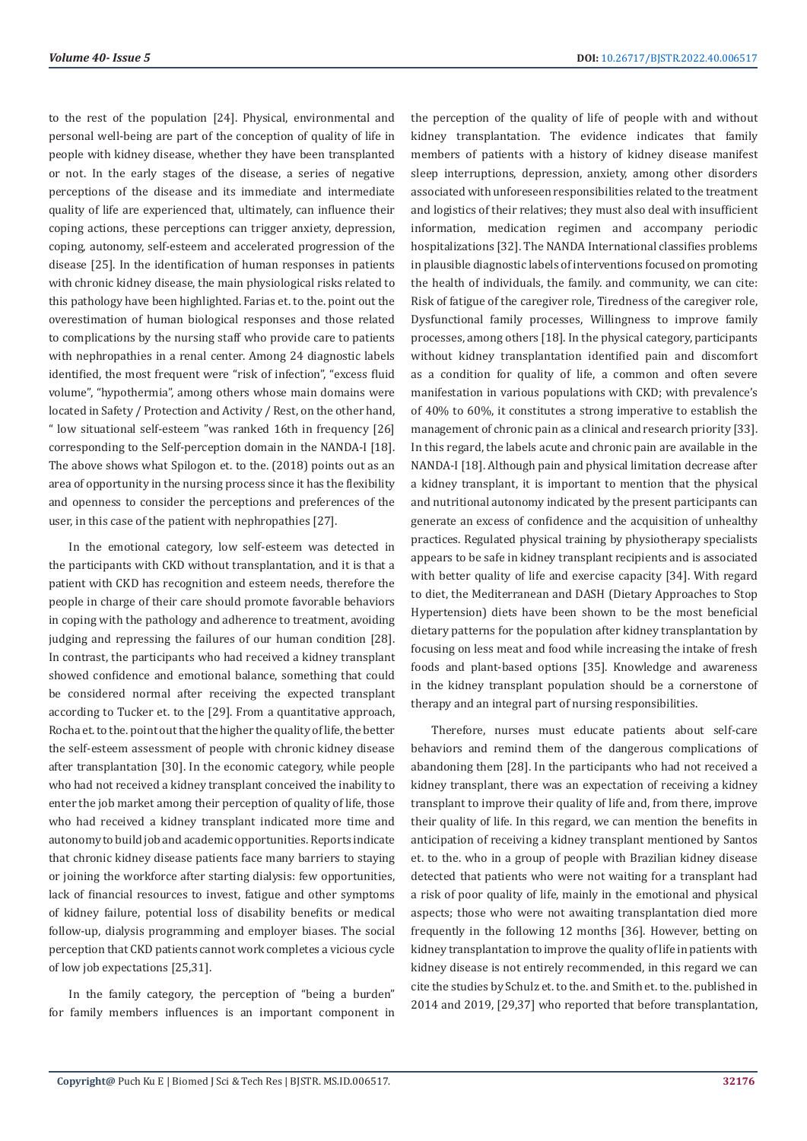to the rest of the population [24]. Physical, environmental and personal well-being are part of the conception of quality of life in people with kidney disease, whether they have been transplanted or not. In the early stages of the disease, a series of negative perceptions of the disease and its immediate and intermediate quality of life are experienced that, ultimately, can influence their coping actions, these perceptions can trigger anxiety, depression, coping, autonomy, self-esteem and accelerated progression of the disease [25]. In the identification of human responses in patients with chronic kidney disease, the main physiological risks related to this pathology have been highlighted. Farias et. to the. point out the overestimation of human biological responses and those related to complications by the nursing staff who provide care to patients with nephropathies in a renal center. Among 24 diagnostic labels identified, the most frequent were "risk of infection", "excess fluid volume", "hypothermia", among others whose main domains were located in Safety / Protection and Activity / Rest, on the other hand, " low situational self-esteem "was ranked 16th in frequency [26] corresponding to the Self-perception domain in the NANDA-I [18]. The above shows what Spilogon et. to the. (2018) points out as an area of opportunity in the nursing process since it has the flexibility and openness to consider the perceptions and preferences of the user, in this case of the patient with nephropathies [27].

In the emotional category, low self-esteem was detected in the participants with CKD without transplantation, and it is that a patient with CKD has recognition and esteem needs, therefore the people in charge of their care should promote favorable behaviors in coping with the pathology and adherence to treatment, avoiding judging and repressing the failures of our human condition [28]. In contrast, the participants who had received a kidney transplant showed confidence and emotional balance, something that could be considered normal after receiving the expected transplant according to Tucker et. to the [29]. From a quantitative approach, Rocha et. to the. point out that the higher the quality of life, the better the self-esteem assessment of people with chronic kidney disease after transplantation [30]. In the economic category, while people who had not received a kidney transplant conceived the inability to enter the job market among their perception of quality of life, those who had received a kidney transplant indicated more time and autonomy to build job and academic opportunities. Reports indicate that chronic kidney disease patients face many barriers to staying or joining the workforce after starting dialysis: few opportunities, lack of financial resources to invest, fatigue and other symptoms of kidney failure, potential loss of disability benefits or medical follow-up, dialysis programming and employer biases. The social perception that CKD patients cannot work completes a vicious cycle of low job expectations [25,31].

In the family category, the perception of "being a burden" for family members influences is an important component in the perception of the quality of life of people with and without kidney transplantation. The evidence indicates that family members of patients with a history of kidney disease manifest sleep interruptions, depression, anxiety, among other disorders associated with unforeseen responsibilities related to the treatment and logistics of their relatives; they must also deal with insufficient information, medication regimen and accompany periodic hospitalizations [32]. The NANDA International classifies problems in plausible diagnostic labels of interventions focused on promoting the health of individuals, the family. and community, we can cite: Risk of fatigue of the caregiver role, Tiredness of the caregiver role, Dysfunctional family processes, Willingness to improve family processes, among others [18]. In the physical category, participants without kidney transplantation identified pain and discomfort as a condition for quality of life, a common and often severe manifestation in various populations with CKD; with prevalence's of 40% to 60%, it constitutes a strong imperative to establish the management of chronic pain as a clinical and research priority [33]. In this regard, the labels acute and chronic pain are available in the NANDA-I [18]. Although pain and physical limitation decrease after a kidney transplant, it is important to mention that the physical and nutritional autonomy indicated by the present participants can generate an excess of confidence and the acquisition of unhealthy practices. Regulated physical training by physiotherapy specialists appears to be safe in kidney transplant recipients and is associated with better quality of life and exercise capacity [34]. With regard to diet, the Mediterranean and DASH (Dietary Approaches to Stop Hypertension) diets have been shown to be the most beneficial dietary patterns for the population after kidney transplantation by focusing on less meat and food while increasing the intake of fresh foods and plant-based options [35]. Knowledge and awareness in the kidney transplant population should be a cornerstone of therapy and an integral part of nursing responsibilities.

Therefore, nurses must educate patients about self-care behaviors and remind them of the dangerous complications of abandoning them [28]. In the participants who had not received a kidney transplant, there was an expectation of receiving a kidney transplant to improve their quality of life and, from there, improve their quality of life. In this regard, we can mention the benefits in anticipation of receiving a kidney transplant mentioned by Santos et. to the. who in a group of people with Brazilian kidney disease detected that patients who were not waiting for a transplant had a risk of poor quality of life, mainly in the emotional and physical aspects; those who were not awaiting transplantation died more frequently in the following 12 months [36]. However, betting on kidney transplantation to improve the quality of life in patients with kidney disease is not entirely recommended, in this regard we can cite the studies by Schulz et. to the. and Smith et. to the. published in 2014 and 2019, [29,37] who reported that before transplantation,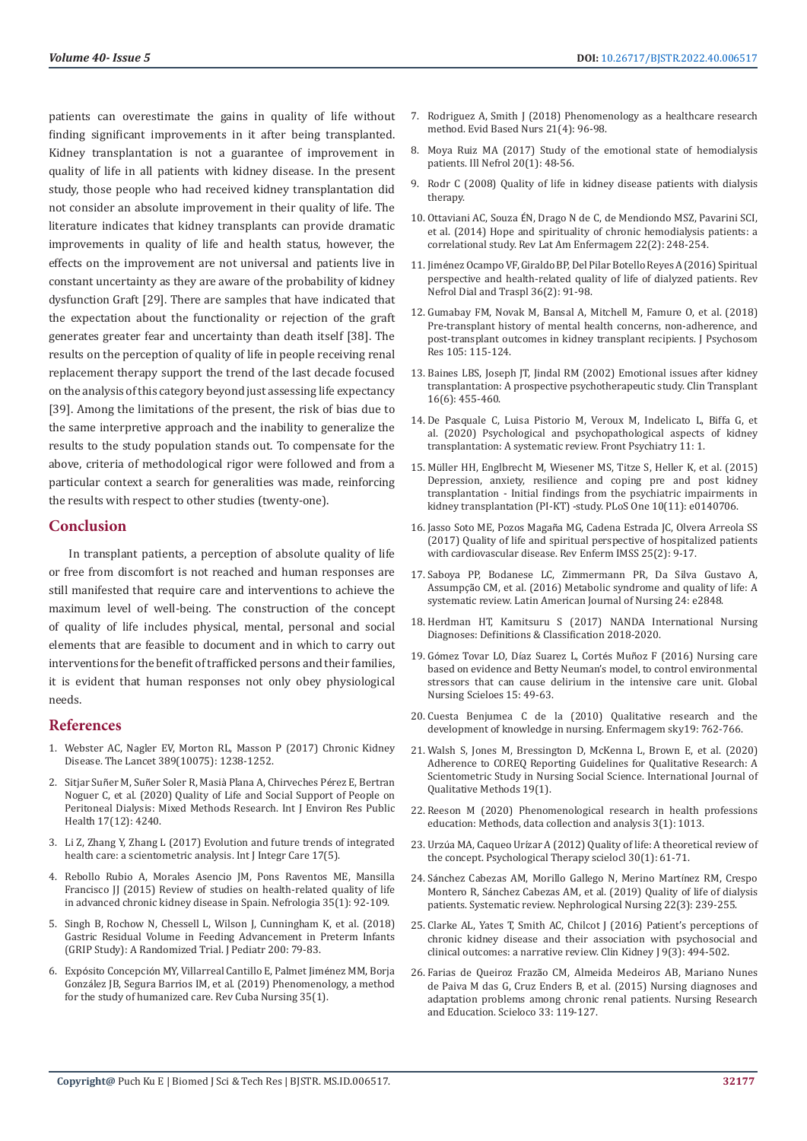patients can overestimate the gains in quality of life without finding significant improvements in it after being transplanted. Kidney transplantation is not a guarantee of improvement in quality of life in all patients with kidney disease. In the present study, those people who had received kidney transplantation did not consider an absolute improvement in their quality of life. The literature indicates that kidney transplants can provide dramatic improvements in quality of life and health status, however, the effects on the improvement are not universal and patients live in constant uncertainty as they are aware of the probability of kidney dysfunction Graft [29]. There are samples that have indicated that the expectation about the functionality or rejection of the graft generates greater fear and uncertainty than death itself [38]. The results on the perception of quality of life in people receiving renal replacement therapy support the trend of the last decade focused on the analysis of this category beyond just assessing life expectancy [39]. Among the limitations of the present, the risk of bias due to the same interpretive approach and the inability to generalize the results to the study population stands out. To compensate for the above, criteria of methodological rigor were followed and from a particular context a search for generalities was made, reinforcing the results with respect to other studies (twenty-one).

# **Conclusion**

In transplant patients, a perception of absolute quality of life or free from discomfort is not reached and human responses are still manifested that require care and interventions to achieve the maximum level of well-being. The construction of the concept of quality of life includes physical, mental, personal and social elements that are feasible to document and in which to carry out interventions for the benefit of trafficked persons and their families, it is evident that human responses not only obey physiological needs.

#### **References**

- 1. [Webster AC, Nagler EV, Morton RL, Masson P \(2017\) Chronic Kidney](https://pubmed.ncbi.nlm.nih.gov/27887750/)  [Disease. The Lancet 389\(10075\): 1238-1252.](https://pubmed.ncbi.nlm.nih.gov/27887750/)
- 2. Sitjar Suñer M, Suñer Soler R, Masià [Plana A, Chirveches P](https://www.ncbi.nlm.nih.gov/pmc/articles/PMC7345330/)érez E, Bertran [Noguer C, et al. \(2020\) Quality of Life and Social Support of People on](https://www.ncbi.nlm.nih.gov/pmc/articles/PMC7345330/)  [Peritoneal Dialysis: Mixed Methods Research. Int J Environ Res Public](https://www.ncbi.nlm.nih.gov/pmc/articles/PMC7345330/)  [Health 17\(12\): 4240.](https://www.ncbi.nlm.nih.gov/pmc/articles/PMC7345330/)
- 3. [Li Z, Zhang Y, Zhang L \(2017\) Evolution and future trends of integrated](https://www.ijic.org/articles/abstract/10.5334/ijic.3571/)  [health care: a scientometric analysis. Int J Integr Care 17\(5\).](https://www.ijic.org/articles/abstract/10.5334/ijic.3571/)
- 4. [Rebollo Rubio A, Morales Asencio JM, Pons Raventos ME, Mansilla](https://www.revistanefrologia.com/en-review-studies-on-health-related-articulo-X201325141505498X)  [Francisco JJ \(2015\) Review of studies on health-related quality of life](https://www.revistanefrologia.com/en-review-studies-on-health-related-articulo-X201325141505498X)  [in advanced chronic kidney disease in Spain. Nefrologia 35\(1\): 92-109.](https://www.revistanefrologia.com/en-review-studies-on-health-related-articulo-X201325141505498X)
- 5. [Singh B, Rochow N, Chessell L, Wilson J, Cunningham K, et al. \(2018\)](https://pubmed.ncbi.nlm.nih.gov/29866595/)  [Gastric Residual Volume in Feeding Advancement in Preterm Infants](https://pubmed.ncbi.nlm.nih.gov/29866595/)  [\(GRIP Study\): A Randomized Trial. J Pediatr 200: 79-83.](https://pubmed.ncbi.nlm.nih.gov/29866595/)
- 6. Expósito Concepció[n MY, Villarreal Cantillo E, Palmet Jim](http://revenfermeria.sld.cu/index.php/enf/article/view/2333/433)énez MM, Borja Gonzá[lez JB, Segura Barrios IM, et al. \(2019\) Phenomenology, a method](http://revenfermeria.sld.cu/index.php/enf/article/view/2333/433)  [for the study of humanized care. Rev Cuba Nursing 35\(1\).](http://revenfermeria.sld.cu/index.php/enf/article/view/2333/433)
- 7. [Rodriguez A, Smith J \(2018\) Phenomenology as a healthcare research](https://pubmed.ncbi.nlm.nih.gov/30201830/) [method. Evid Based Nurs 21\(4\): 96-98.](https://pubmed.ncbi.nlm.nih.gov/30201830/)
- 8. [Moya Ruiz MA \(2017\) Study of the emotional state of hemodialysis](https://scielo.isciii.es/scielo.php?pid=S2254-28842017000100007&script=sci_abstract&tlng=en) [patients. Ill Nefrol 20\(1\): 48-56.](https://scielo.isciii.es/scielo.php?pid=S2254-28842017000100007&script=sci_abstract&tlng=en)
- 9. Rodr C (2008) Quality of life in kidney disease patients with dialysis therapy.
- 10. Ottaviani AC, Souza É[N, Drago N de C, de Mendiondo MSZ, Pavarini SCI,](https://www.ncbi.nlm.nih.gov/pmc/articles/PMC4292610/) [et al. \(2014\) Hope and spirituality of chronic hemodialysis patients: a](https://www.ncbi.nlm.nih.gov/pmc/articles/PMC4292610/) [correlational study. Rev Lat Am Enfermagem 22\(2\): 248-254.](https://www.ncbi.nlm.nih.gov/pmc/articles/PMC4292610/)
- 11. Jimé[nez Ocampo VF, Giraldo BP, Del Pilar Botello Reyes A \(2016\) Spiritual](https://www.researchgate.net/publication/318928080_Spiritual_perspective_and_health-related_quality_of_life_of_dialyzed_patients) [perspective and health-related quality of life of dialyzed patients. Rev](https://www.researchgate.net/publication/318928080_Spiritual_perspective_and_health-related_quality_of_life_of_dialyzed_patients) [Nefrol Dial and Traspl 36\(2\): 91-98.](https://www.researchgate.net/publication/318928080_Spiritual_perspective_and_health-related_quality_of_life_of_dialyzed_patients)
- 12. [Gumabay FM, Novak M, Bansal A, Mitchell M, Famure O, et al. \(2018\)](https://pubmed.ncbi.nlm.nih.gov/29332627/) [Pre-transplant history of mental health concerns, non-adherence, and](https://pubmed.ncbi.nlm.nih.gov/29332627/) [post-transplant outcomes in kidney transplant recipients. J Psychosom](https://pubmed.ncbi.nlm.nih.gov/29332627/) [Res 105: 115-124.](https://pubmed.ncbi.nlm.nih.gov/29332627/)
- 13. [Baines LBS, Joseph JT, Jindal RM \(2002\) Emotional issues after kidney](https://pubmed.ncbi.nlm.nih.gov/12437627/) [transplantation: A prospective psychotherapeutic study. Clin Transplant](https://pubmed.ncbi.nlm.nih.gov/12437627/) [16\(6\): 455-460.](https://pubmed.ncbi.nlm.nih.gov/12437627/)
- 14. [De Pasquale C, Luisa Pistorio M, Veroux M, Indelicato L, Biffa G, et](https://www.frontiersin.org/articles/10.3389/fpsyt.2020.00106/full) [al. \(2020\) Psychological and psychopathological aspects of kidney](https://www.frontiersin.org/articles/10.3389/fpsyt.2020.00106/full) [transplantation: A systematic review. Front Psychiatry 11: 1.](https://www.frontiersin.org/articles/10.3389/fpsyt.2020.00106/full)
- 15. Mü[ller HH, Englbrecht M, Wiesener MS, Titze S, Heller K, et al. \(2015\)](https://journals.plos.org/plosone/article?id=10.1371/journal.pone.0140765) [Depression, anxiety, resilience and coping pre and post kidney](https://journals.plos.org/plosone/article?id=10.1371/journal.pone.0140765) [transplantation - Initial findings from the psychiatric impairments in](https://journals.plos.org/plosone/article?id=10.1371/journal.pone.0140765) [kidney transplantation \(PI-KT\) -study. PLoS One 10\(11\): e0140706.](https://journals.plos.org/plosone/article?id=10.1371/journal.pone.0140765)
- 16. Jasso Soto ME, Pozos Magañ[a MG, Cadena Estrada JC, Olvera Arreola SS](https://www.medigraphic.com/cgi-bin/new/resumen.cgi?IDARTICULO=69912) [\(2017\) Quality of life and spiritual perspective of hospitalized patients](https://www.medigraphic.com/cgi-bin/new/resumen.cgi?IDARTICULO=69912) [with cardiovascular disease. Rev Enferm IMSS 25\(2\): 9-17.](https://www.medigraphic.com/cgi-bin/new/resumen.cgi?IDARTICULO=69912)
- 17. [Saboya PP, Bodanese LC, Zimmermann PR, Da Silva Gustavo A,](https://pubmed.ncbi.nlm.nih.gov/27901223/) Assumpçã[o CM, et al. \(2016\) Metabolic syndrome and quality of life: A](https://pubmed.ncbi.nlm.nih.gov/27901223/) [systematic review. Latin American Journal of Nursing](https://pubmed.ncbi.nlm.nih.gov/27901223/) 24: e2848.
- 18. [Herdman HT, Kamitsuru S \(2017\) NANDA International Nursing](https://www.thieme.com/for-media/125-2017/1298-nanda-international-nursing-diagnoses) [Diagnoses: Definitions & Classification 2018-2020.](https://www.thieme.com/for-media/125-2017/1298-nanda-international-nursing-diagnoses)
- 19. Gómez Tovar LO, Díaz Suarez L, Cortés Muñoz F (2016) Nursing care based on evidence and Betty Neuman's model, to control environmental stressors that can cause delirium in the intensive care unit. Global Nursing Scieloes 15: 49-63.
- 20. [Cuesta Benjumea C de la \(2010\) Qualitative research and the](https://www.scielo.br/j/tce/a/zCkjYvpKwZkfK4xncZ7swLf/abstract/?lang=en) [development of knowledge in nursing. Enfermagem sky19: 762-766.](https://www.scielo.br/j/tce/a/zCkjYvpKwZkfK4xncZ7swLf/abstract/?lang=en)
- 21. [Walsh S, Jones M, Bressington D, McKenna L, Brown E, et al. \(2020\)](https://journals.sagepub.com/doi/10.1177/1609406920982145) [Adherence to COREQ Reporting Guidelines for Qualitative Research: A](https://journals.sagepub.com/doi/10.1177/1609406920982145) [Scientometric Study in Nursing Social Science. International Journal of](https://journals.sagepub.com/doi/10.1177/1609406920982145) [Qualitative Methods 19\(1\).](https://journals.sagepub.com/doi/10.1177/1609406920982145)
- 22. [Reeson M \(2020\) Phenomenological research in health professions](https://meddocsonline.org/annals-of-dentistry-and-oral-health/phenomenological-research-in-health-professions-education-methods-data-collection-and-analysis.pdf) [education: Methods, data collection and analysis 3\(1\): 1013.](https://meddocsonline.org/annals-of-dentistry-and-oral-health/phenomenological-research-in-health-professions-education-methods-data-collection-and-analysis.pdf)
- 23. Urzúa MA, Caqueo Urí[zar A \(2012\) Quality of life: A theoretical review of](https://www.scielo.cl/scielo.php?script=sci_arttext&pid=S0718-48082012000100006) [the concept. Psychological Therapy scielocl 30\(1\): 61-71.](https://www.scielo.cl/scielo.php?script=sci_arttext&pid=S0718-48082012000100006)
- 24. Sá[nchez Cabezas AM, Morillo Gallego N, Merino Mart](https://scielo.isciii.es/scielo.php?script=sci_arttext&pid=S2254-28842019000300003)ínez RM, Crespo Montero R, Sá[nchez Cabezas AM, et al. \(2019\) Quality of life of dialysis](https://scielo.isciii.es/scielo.php?script=sci_arttext&pid=S2254-28842019000300003) [patients. Systematic review. Nephrological Nursing 22\(3\): 239-255.](https://scielo.isciii.es/scielo.php?script=sci_arttext&pid=S2254-28842019000300003)
- 25. [Clarke AL, Yates T, Smith AC, Chilcot J \(2016\) Patient's perceptions of](https://pubmed.ncbi.nlm.nih.gov/27274839/) [chronic kidney disease and their association with psychosocial and](https://pubmed.ncbi.nlm.nih.gov/27274839/) [clinical outcomes: a narrative review. Clin Kidney J 9\(3\): 494-502.](https://pubmed.ncbi.nlm.nih.gov/27274839/)
- 26. Farias de Queiroz Frazã[o CM, Almeida Medeiros AB, Mariano Nunes](http://www.scielo.org.co/pdf/iee/v33n1/v33n1a14.pdf) [de Paiva M das G, Cruz Enders B, et al. \(2015\) Nursing diagnoses and](http://www.scielo.org.co/pdf/iee/v33n1/v33n1a14.pdf) [adaptation problems among chronic renal patients. Nursing Research](http://www.scielo.org.co/pdf/iee/v33n1/v33n1a14.pdf) [and Education. Scieloco 33: 119-127.](http://www.scielo.org.co/pdf/iee/v33n1/v33n1a14.pdf)